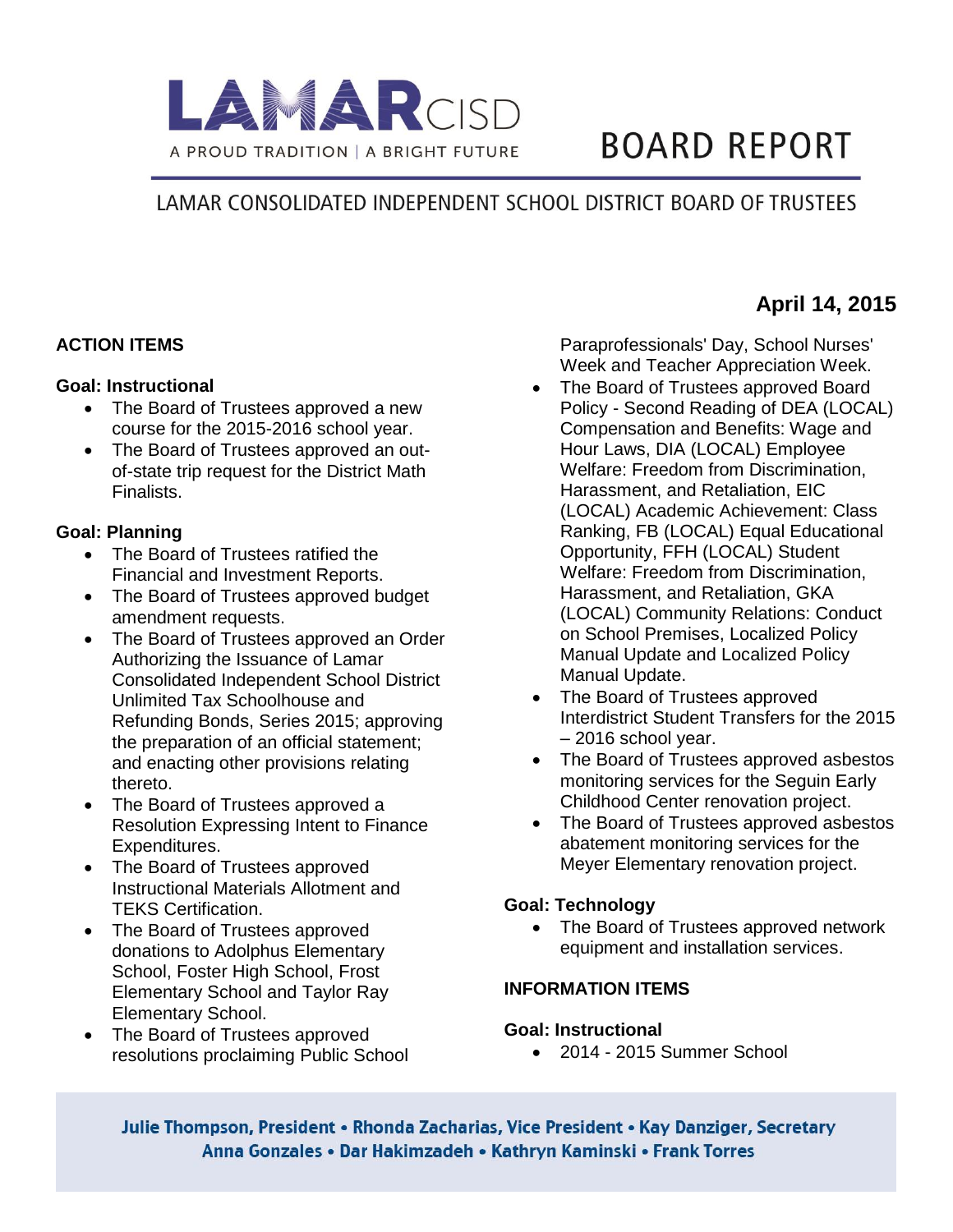

# **BOARD REPORT**

# LAMAR CONSOLIDATED INDEPENDENT SCHOOL DISTRICT BOARD OF TRUSTEES

### **ACTION ITEMS**

#### **Goal: Instructional**

- The Board of Trustees approved a new course for the 2015-2016 school year.
- The Board of Trustees approved an outof-state trip request for the District Math Finalists.

### **Goal: Planning**

- The Board of Trustees ratified the Financial and Investment Reports.
- The Board of Trustees approved budget amendment requests.
- The Board of Trustees approved an Order Authorizing the Issuance of Lamar Consolidated Independent School District Unlimited Tax Schoolhouse and Refunding Bonds, Series 2015; approving the preparation of an official statement; and enacting other provisions relating thereto.
- The Board of Trustees approved a Resolution Expressing Intent to Finance Expenditures.
- The Board of Trustees approved Instructional Materials Allotment and TEKS Certification.
- The Board of Trustees approved donations to Adolphus Elementary School, Foster High School, Frost Elementary School and Taylor Ray Elementary School.
- The Board of Trustees approved resolutions proclaiming Public School

Paraprofessionals' Day, School Nurses' Week and Teacher Appreciation Week.

**MAApril 14, 2015**

- The Board of Trustees approved Board Policy - Second Reading of DEA (LOCAL) Compensation and Benefits: Wage and Hour Laws, DIA (LOCAL) Employee Welfare: Freedom from Discrimination, Harassment, and Retaliation, EIC (LOCAL) Academic Achievement: Class Ranking, FB (LOCAL) Equal Educational Opportunity, FFH (LOCAL) Student Welfare: Freedom from Discrimination, Harassment, and Retaliation, GKA (LOCAL) Community Relations: Conduct on School Premises, Localized Policy Manual Update and Localized Policy Manual Update.
- The Board of Trustees approved Interdistrict Student Transfers for the 2015 – 2016 school year.
- The Board of Trustees approved asbestos monitoring services for the Seguin Early Childhood Center renovation project.
- The Board of Trustees approved asbestos abatement monitoring services for the Meyer Elementary renovation project.

### **Goal: Technology**

• The Board of Trustees approved network equipment and installation services.

## **INFORMATION ITEMS**

#### **Goal: Instructional**

2014 - 2015 Summer School

Julie Thompson, President • Rhonda Zacharias, Vice President • Kay Danziger, Secretary Anna Gonzales • Dar Hakimzadeh • Kathryn Kaminski • Frank Torres